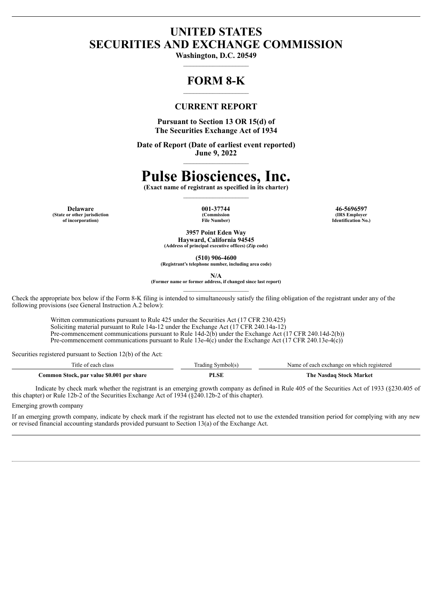# **UNITED STATES SECURITIES AND EXCHANGE COMMISSION**

**Washington, D.C. 20549** \_\_\_\_\_\_\_\_\_\_\_\_\_\_\_\_\_\_\_\_

# **FORM 8-K**

# **CURRENT REPORT**

**Pursuant to Section 13 OR 15(d) of The Securities Exchange Act of 1934**

**Date of Report (Date of earliest event reported) June 9, 2022**  $\mathcal{L}_\text{max}$ 

# **Pulse Biosciences, Inc.**

**(Exact name of registrant as specified in its charter)**  $\mathcal{L}_\text{max}$ 

**(State or other jurisdiction of incorporation)**

**(Commission File Number)**

**Delaware 001-37744 46-5696597 (IRS Employer Identification No.)**

> **3957 Point Eden Way Hayward, California 94545**

**(Address of principal executive offices) (Zip code)**

**(510) 906-4600 (Registrant's telephone number, including area code)**

**N/A**

**(Former name or former address, if changed since last report)**  $\mathcal{L}_\text{max}$ 

Check the appropriate box below if the Form 8-K filing is intended to simultaneously satisfy the filing obligation of the registrant under any of the following provisions (see General Instruction A.2 below):

Written communications pursuant to Rule 425 under the Securities Act (17 CFR 230.425) Soliciting material pursuant to Rule 14a-12 under the Exchange Act (17 CFR 240.14a-12) Pre-commencement communications pursuant to Rule 14d-2(b) under the Exchange Act (17 CFR 240.14d-2(b)) Pre-commencement communications pursuant to Rule 13e-4(c) under the Exchange Act (17 CFR 240.13e-4(c))

Securities registered pursuant to Section 12(b) of the Act:

| ritle of each class                       | `rading Symbol(s | Name of each exchange on which registered |
|-------------------------------------------|------------------|-------------------------------------------|
| Common Stock, par value \$0.001 per share | PLSE             | The Nasdag Stock Market                   |

Indicate by check mark whether the registrant is an emerging growth company as defined in Rule 405 of the Securities Act of 1933 (§230.405 of this chapter) or Rule 12b-2 of the Securities Exchange Act of 1934 (§240.12b-2 of this chapter).

Emerging growth company

If an emerging growth company, indicate by check mark if the registrant has elected not to use the extended transition period for complying with any new or revised financial accounting standards provided pursuant to Section 13(a) of the Exchange Act.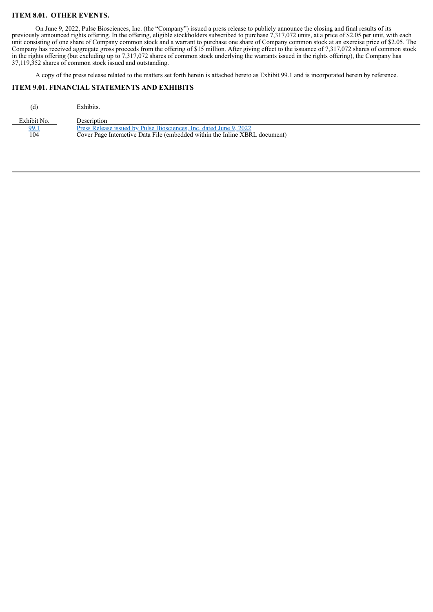# **ITEM 8.01. OTHER EVENTS.**

On June 9, 2022, Pulse Biosciences, Inc. (the "Company") issued a press release to publicly announce the closing and final results of its previously announced rights offering. In the offering, eligible stockholders subscribed to purchase 7,317,072 units, at a price of \$2.05 per unit, with each unit consisting of one share of Company common stock and a warrant to purchase one share of Company common stock at an exercise price of \$2.05. The Company has received aggregate gross proceeds from the offering of \$15 million. After giving effect to the issuance of 7,317,072 shares of common stock in the rights offering (but excluding up to 7,317,072 shares of common stock underlying the warrants issued in the rights offering), the Company has 37,119,352 shares of common stock issued and outstanding.

A copy of the press release related to the matters set forth herein is attached hereto as Exhibit 99.1 and is incorporated herein by reference.

#### **ITEM 9.01. FINANCIAL STATEMENTS AND EXHIBITS**

| (d)         | Exhibits.                                                                   |
|-------------|-----------------------------------------------------------------------------|
| Exhibit No. | Description                                                                 |
| 99.1        | Press Release issued by Pulse Biosciences, Inc. dated June 9, 2022          |
| 104         | Cover Page Interactive Data File (embedded within the Inline XBRL document) |
|             |                                                                             |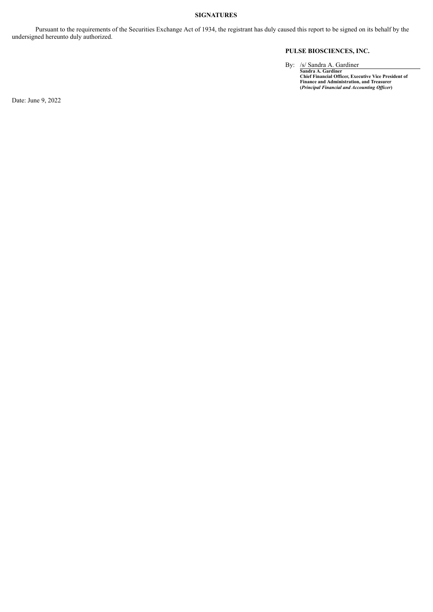# **SIGNATURES**

Pursuant to the requirements of the Securities Exchange Act of 1934, the registrant has duly caused this report to be signed on its behalf by the undersigned hereunto duly authorized.

# **PULSE BIOSCIENCES, INC.**

By: /s/ Sandra A. Gardiner<br>
Sandra A. Gardiner<br>
Chief Financial Officer, Executive Vice President of<br>
Finance and Administration, and Treasurer<br>
(*Principal Financial and Accounting Officer*)

Date: June 9, 2022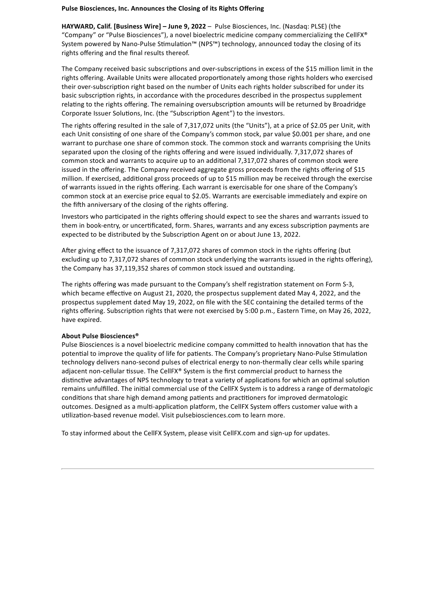# <span id="page-3-0"></span>**Pulse Biosciences, Inc. Announces the Closing of its Rights Offering**

**HAYWARD, Calif. [Business Wire] – June 9, 2022** – Pulse Biosciences, Inc. (Nasdaq: PLSE) (the "Company" or "Pulse Biosciences"), a novel bioelectric medicine company commercializing the CellFX® System powered by Nano-Pulse Stimulation™ (NPS™) technology, announced today the closing of its rights offering and the final results thereof.

The Company received basic subscriptions and over-subscriptions in excess of the \$15 million limit in the rights offering. Available Units were allocated proportionately among those rights holders who exercised their over-subscription right based on the number of Units each rights holder subscribed for under its basic subscription rights, in accordance with the procedures described in the prospectus supplement relating to the rights offering. The remaining oversubscription amounts will be returned by Broadridge Corporate Issuer Solutions, Inc. (the "Subscription Agent") to the investors.

The rights offering resulted in the sale of 7,317,072 units (the "Units"), at a price of \$2.05 per Unit, with each Unit consisting of one share of the Company's common stock, par value \$0.001 per share, and one warrant to purchase one share of common stock. The common stock and warrants comprising the Units separated upon the closing of the rights offering and were issued individually. 7,317,072 shares of common stock and warrants to acquire up to an additional 7,317,072 shares of common stock were issued in the offering. The Company received aggregate gross proceeds from the rights offering of \$15 million. If exercised, additional gross proceeds of up to \$15 million may be received through the exercise of warrants issued in the rights offering. Each warrant is exercisable for one share of the Company's common stock at an exercise price equal to \$2.05. Warrants are exercisable immediately and expire on the fifth anniversary of the closing of the rights offering.

Investors who participated in the rights offering should expect to see the shares and warrants issued to them in book-entry, or uncertificated, form. Shares, warrants and any excess subscription payments are expected to be distributed by the Subscription Agent on or about June 13, 2022.

After giving effect to the issuance of 7,317,072 shares of common stock in the rights offering (but excluding up to 7,317,072 shares of common stock underlying the warrants issued in the rights offering), the Company has 37,119,352 shares of common stock issued and outstanding.

The rights offering was made pursuant to the Company's shelf registration statement on Form S-3, which became effective on August 21, 2020, the prospectus supplement dated May 4, 2022, and the prospectus supplement dated May 19, 2022, on file with the SEC containing the detailed terms of the rights offering. Subscription rights that were not exercised by 5:00 p.m., Eastern Time, on May 26, 2022, have expired.

### **About Pulse Biosciences®**

Pulse Biosciences is a novel bioelectric medicine company committed to health innovation that has the potential to improve the quality of life for patients. The Company's proprietary Nano-Pulse Stimulation technology delivers nano-second pulses of electrical energy to non-thermally clear cells while sparing adjacent non-cellular tissue. The CellFX® System is the first commercial product to harness the distinctive advantages of NPS technology to treat a variety of applications for which an optimal solution remains unfulfilled. The initial commercial use of the CellFX System is to address a range of dermatologic conditions that share high demand among patients and practitioners for improved dermatologic outcomes. Designed as a multi-application platform, the CellFX System offers customer value with a utilization-based revenue model. Visit pulsebiosciences.com to learn more.

To stay informed about the CellFX System, please visit CellFX.com and sign-up for updates.